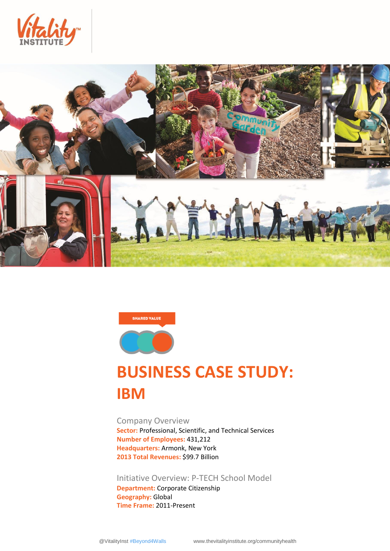





# **BUSINESS CASE STUDY: IBM**

Company Overview **Sector:** Professional, Scientific, and Technical Services **Number of Employees:** 431,212 **Headquarters:** Armonk, New York **2013 Total Revenues:** \$99.7 Billion

Initiative Overview: P-TECH School Model **Department:** Corporate Citizenship **Geography:** Global **Time Frame:** 2011-Present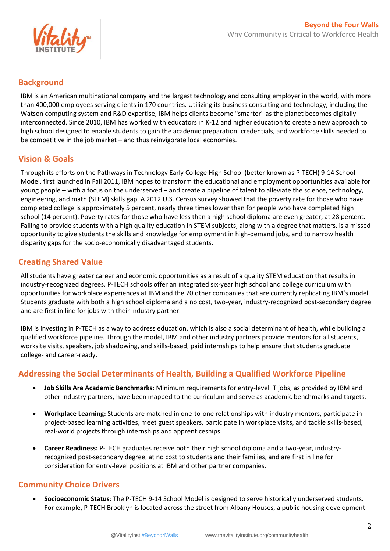

### **Background**

IBM is an American multinational company and the largest technology and consulting employer in the world, with more than 400,000 employees serving clients in 170 countries. Utilizing its business consulting and technology, including the Watson computing system and R&D expertise, IBM helps clients become "smarter" as the planet becomes digitally interconnected. Since 2010, IBM has worked with educators in K-12 and higher education to create a new approach to high school designed to enable students to gain the academic preparation, credentials, and workforce skills needed to be competitive in the job market – and thus reinvigorate local economies.

# **Vision & Goals**

Through its efforts on the Pathways in Technology Early College High School (better known as P-TECH) 9-14 School Model, first launched in Fall 2011, IBM hopes to transform the educational and employment opportunities available for young people – with a focus on the underserved – and create a pipeline of talent to alleviate the science, technology, engineering, and math (STEM) skills gap. A 2012 U.S. Census survey showed that the poverty rate for those who have completed college is approximately 5 percent, nearly three times lower than for people who have completed high school (14 percent). Poverty rates for those who have less than a high school diploma are even greater, at 28 percent. Failing to provide students with a high quality education in STEM subjects, along with a degree that matters, is a missed opportunity to give students the skills and knowledge for employment in high-demand jobs, and to narrow health disparity gaps for the socio-economically disadvantaged students.

# **Creating Shared Value**

All students have greater career and economic opportunities as a result of a quality STEM education that results in industry-recognized degrees. P-TECH schools offer an integrated six-year high school and college curriculum with opportunities for workplace experiences at IBM and the 70 other companies that are currently replicating IBM's model. Students graduate with both a high school diploma and a no cost, two-year, industry-recognized post-secondary degree and are first in line for jobs with their industry partner.

IBM is investing in P-TECH as a way to address education, which is also a social determinant of health, while building a qualified workforce pipeline. Through the model, IBM and other industry partners provide mentors for all students, worksite visits, speakers, job shadowing, and skills-based, paid internships to help ensure that students graduate college- and career-ready.

# **Addressing the Social Determinants of Health, Building a Qualified Workforce Pipeline**

- **Job Skills Are Academic Benchmarks:** Minimum requirements for entry-level IT jobs, as provided by IBM and other industry partners, have been mapped to the curriculum and serve as academic benchmarks and targets.
- **Workplace Learning:** Students are matched in one-to-one relationships with industry mentors, participate in project-based learning activities, meet guest speakers, participate in workplace visits, and tackle skills-based, real-world projects through internships and apprenticeships.
- **Career Readiness:** P-TECH graduates receive both their high school diploma and a two-year, industryrecognized post-secondary degree, at no cost to students and their families, and are first in line for consideration for entry-level positions at IBM and other partner companies.

# **Community Choice Drivers**

 **Socioeconomic Status**: The P-TECH 9-14 School Model is designed to serve historically underserved students. For example, P-TECH Brooklyn is located across the street from Albany Houses, a public housing development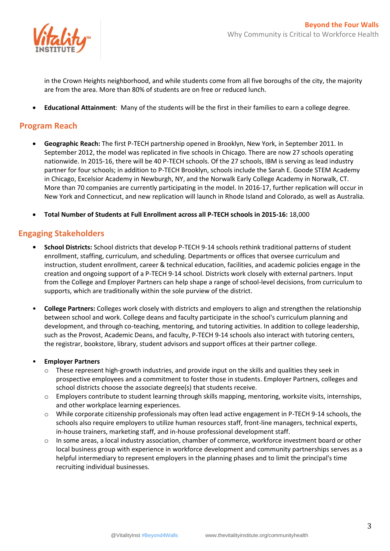

in the Crown Heights neighborhood, and while students come from all five boroughs of the city, the majority are from the area. More than 80% of students are on free or reduced lunch.

**Educational Attainment**: Many of the students will be the first in their families to earn a college degree.

#### **Program Reach**

- **Geographic Reach:** The first P-TECH partnership opened in Brooklyn, New York, in September 2011. In September 2012, the model was replicated in five schools in Chicago. There are now 27 schools operating nationwide. In 2015-16, there will be 40 P-TECH schools. Of the 27 schools, IBM is serving as lead industry partner for four schools; in addition to P-TECH Brooklyn, schools include the Sarah E. Goode STEM Academy in Chicago, Excelsior Academy in Newburgh, NY, and the Norwalk Early College Academy in Norwalk, CT. More than 70 companies are currently participating in the model. In 2016-17, further replication will occur in New York and Connecticut, and new replication will launch in Rhode Island and Colorado, as well as Australia.
- **Total Number of Students at Full Enrollment across all P-TECH schools in 2015-16:** 18,000

#### **Engaging Stakeholders**

- **• School Districts:** School districts that develop P-TECH 9-14 schools rethink traditional patterns of student enrollment, staffing, curriculum, and scheduling. Departments or offices that oversee curriculum and instruction, student enrollment, career & technical education, facilities, and academic policies engage in the creation and ongoing support of a P-TECH 9-14 school. Districts work closely with external partners. Input from the College and Employer Partners can help shape a range of school-level decisions, from curriculum to supports, which are traditionally within the sole purview of the district.
- **College Partners:** Colleges work closely with districts and employers to align and strengthen the relationship between school and work. College deans and faculty participate in the school's curriculum planning and development, and through co-teaching, mentoring, and tutoring activities. In addition to college leadership, such as the Provost, Academic Deans, and faculty, P-TECH 9-14 schools also interact with tutoring centers, the registrar, bookstore, library, student advisors and support offices at their partner college.

#### • **Employer Partners**

- $\circ$  These represent high-growth industries, and provide input on the skills and qualities they seek in prospective employees and a commitment to foster those in students. Employer Partners, colleges and school districts choose the associate degree(s) that students receive.
- o Employers contribute to student learning through skills mapping, mentoring, worksite visits, internships, and other workplace learning experiences.
- o While corporate citizenship professionals may often lead active engagement in P-TECH 9-14 schools, the schools also require employers to utilize human resources staff, front-line managers, technical experts, in-house trainers, marketing staff, and in-house professional development staff.
- $\circ$  In some areas, a local industry association, chamber of commerce, workforce investment board or other local business group with experience in workforce development and community partnerships serves as a helpful intermediary to represent employers in the planning phases and to limit the principal's time recruiting individual businesses.